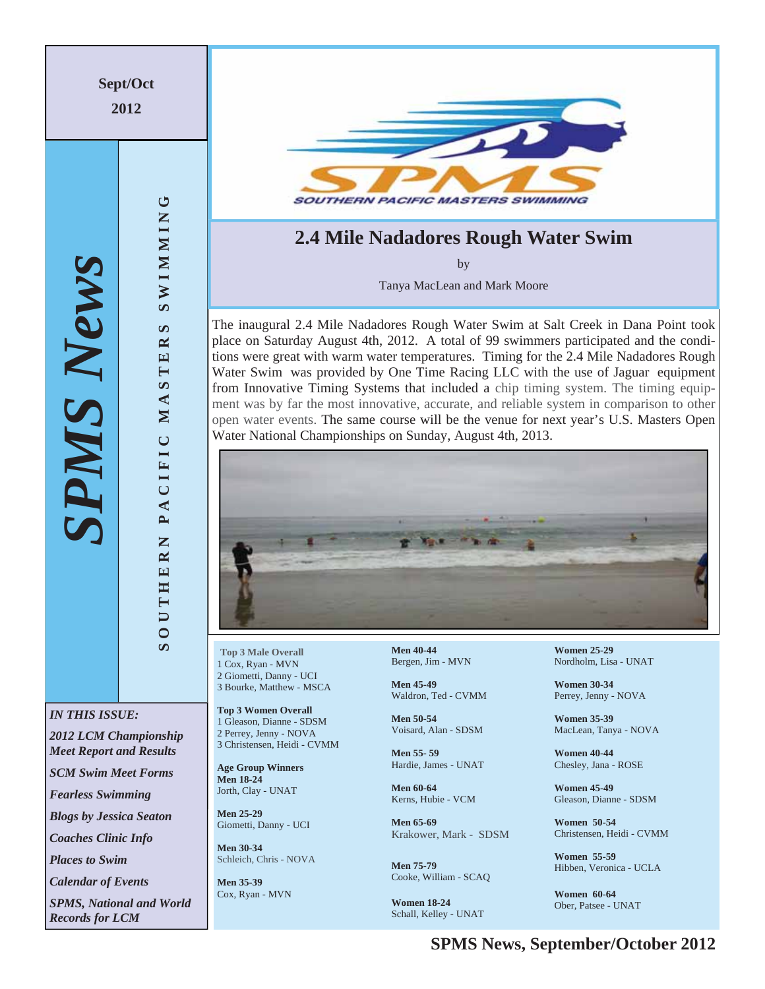

**SPMS News, September/October 2012**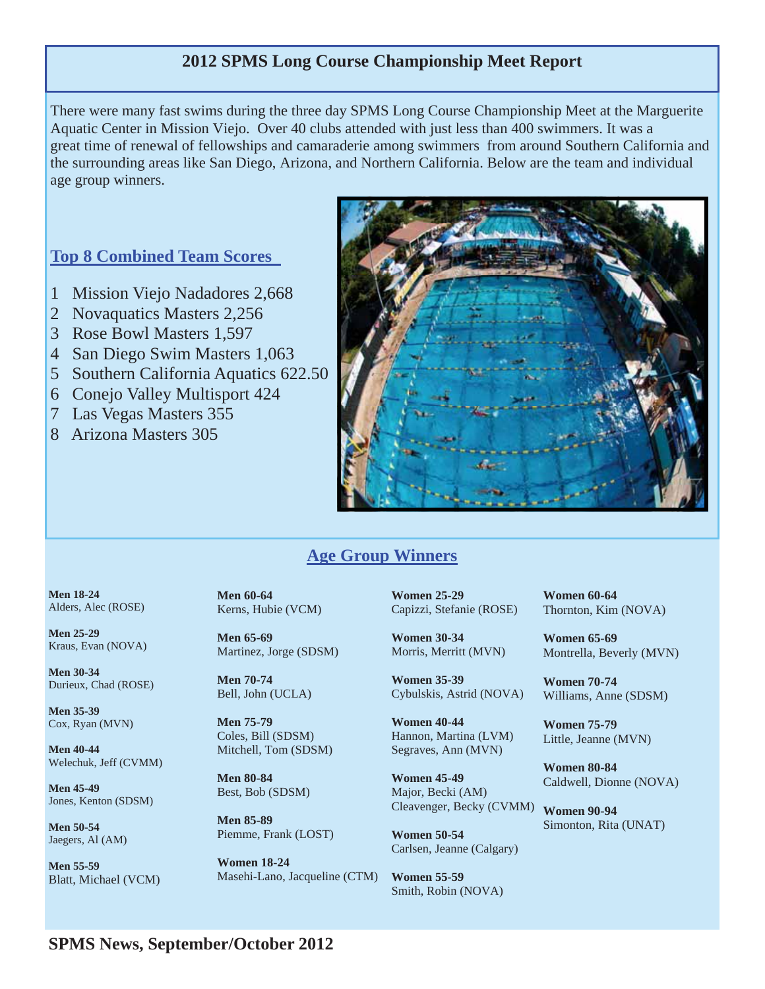### **2012 SPMS Long Course Championship Meet Report**

There were many fast swims during the three day SPMS Long Course Championship Meet at the Marguerite Aquatic Center in Mission Viejo. Over 40 clubs attended with just less than 400 swimmers. It was a great time of renewal of fellowships and camaraderie among swimmers from around Southern California and the surrounding areas like San Diego, Arizona, and Northern California. Below are the team and individual age group winners.

### **Top 8 Combined Team Scores**

- 1 Mission Viejo Nadadores 2,668
- 2 Novaquatics Masters 2,256
- 3 Rose Bowl Masters 1,597
- 4 San Diego Swim Masters 1,063
- 5 Southern California Aquatics 622.50
- 6 Conejo Valley Multisport 424
- 7 Las Vegas Masters 355
- 8 Arizona Masters 305



## **Age Group Winners**

**Men 18-24**  Alders, Alec (ROSE)

**Men 25-29**  Kraus, Evan (NOVA)

**Men 30-34**  Durieux, Chad (ROSE)

**Men 35-39**  Cox, Ryan (MVN)

**Men 40-44**  Welechuk, Jeff (CVMM)

**Men 45-49**  Jones, Kenton (SDSM)

**Men 50-54**  Jaegers, Al (AM)

**Men 55-59**  Blatt, Michael (VCM) **Men 60-64**  Kerns, Hubie (VCM)

**Men 65-69**  Martinez, Jorge (SDSM)

**Men 70-74**  Bell, John (UCLA)

**Men 75-79**  Coles, Bill (SDSM) Mitchell, Tom (SDSM)

**Men 80-84**  Best, Bob (SDSM)

**Men 85-89**  Piemme, Frank (LOST)

**Women 18-24**  Masehi-Lano, Jacqueline (CTM) **Women 25-29**  Capizzi, Stefanie (ROSE)

**Women 30-34**  Morris, Merritt (MVN)

**Women 35-39**  Cybulskis, Astrid (NOVA)

**Women 40-44**  Hannon, Martina (LVM) Segraves, Ann (MVN)

**Women 45-49**  Major, Becki (AM) Cleavenger, Becky (CVMM) **Women 90-94** 

**Women 50-54**  Carlsen, Jeanne (Calgary)

**Women 55-59** Smith, Robin (NOVA) **Women 60-64**  Thornton, Kim (NOVA)

**Women 65-69**  Montrella, Beverly (MVN)

**Women 70-74** Williams, Anne (SDSM)

**Women 75-79**  Little, Jeanne (MVN)

**Women 80-84**  Caldwell, Dionne (NOVA)

Simonton, Rita (UNAT)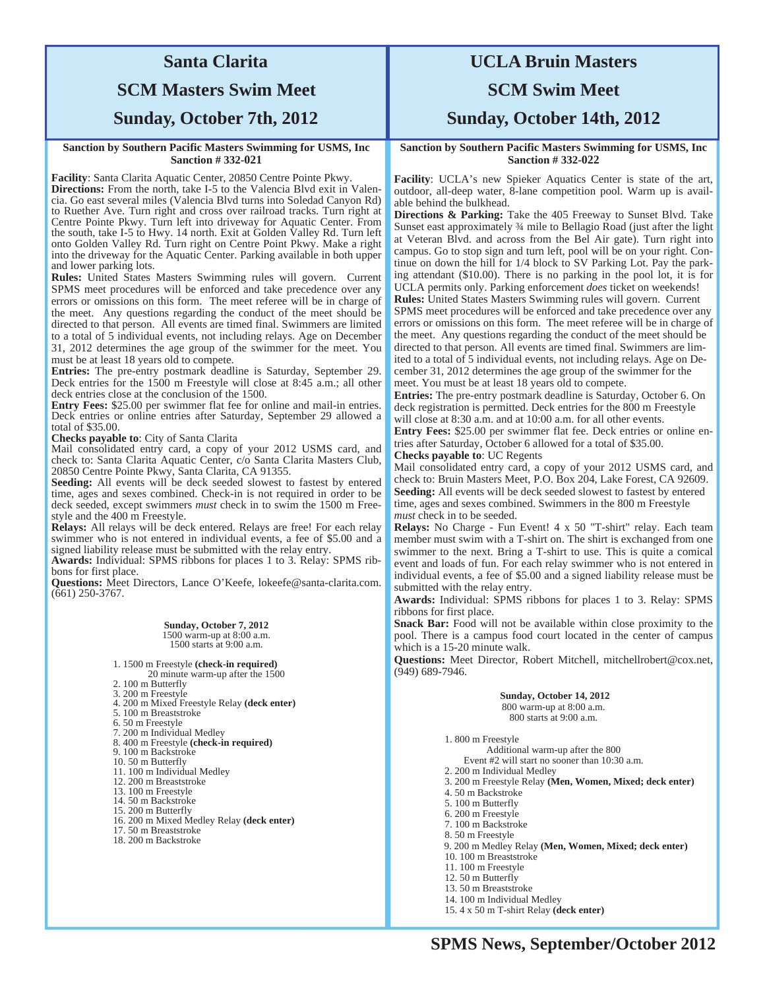# **Santa Clarita**

## **SCM Masters Swim Meet**

### **Sunday, October 7th, 2012**

#### **Sanction by Southern Pacific Masters Swimming for USMS, Inc Sanction # 332-021**

**Facility**: Santa Clarita Aquatic Center, 20850 Centre Pointe Pkwy.

**Directions:** From the north, take I-5 to the Valencia Blvd exit in Valencia. Go east several miles (Valencia Blvd turns into Soledad Canyon Rd) to Ruether Ave. Turn right and cross over railroad tracks. Turn right at Centre Pointe Pkwy. Turn left into driveway for Aquatic Center. From the south, take I-5 to Hwy. 14 north. Exit at Golden Valley Rd. Turn left onto Golden Valley Rd. Turn right on Centre Point Pkwy. Make a right into the driveway for the Aquatic Center. Parking available in both upper and lower parking lots.

**Rules:** United States Masters Swimming rules will govern. Current SPMS meet procedures will be enforced and take precedence over any errors or omissions on this form. The meet referee will be in charge of the meet. Any questions regarding the conduct of the meet should be directed to that person.All events are timed final. Swimmers are limited to a total of 5 individual events, not including relays. Age on December 31, 2012 determines the age group of the swimmer for the meet. You must be at least 18 years old to compete.

**Entries:** The pre-entry postmark deadline is Saturday, September 29. Deck entries for the 1500 m Freestyle will close at 8:45 a.m.; all other deck entries close at the conclusion of the 1500.

**Entry Fees:** \$25.00 per swimmer flat fee for online and mail-in entries. Deck entries or online entries after Saturday, September 29 allowed a total of \$35.00.

**Checks payable to**: City of Santa Clarita

Mail consolidated entry card, a copy of your 2012 USMS card, and check to: Santa Clarita Aquatic Center, c/o Santa Clarita Masters Club, 20850 Centre Pointe Pkwy, Santa Clarita, CA 91355.

**Seeding:** All events will be deck seeded slowest to fastest by entered time, ages and sexes combined. Check-in is not required in order to be deck seeded, except swimmers *must* check in to swim the 1500 m Freestyle and the 400 m Freestyle.

**Relays:** All relays will be deck entered. Relays are free! For each relay swimmer who is not entered in individual events, a fee of \$5.00 and a signed liability release must be submitted with the relay entry.

**Awards:** Individual: SPMS ribbons for places 1 to 3. Relay: SPMS ribbons for first place.

**Questions:** Meet Directors, Lance O'Keefe, lokeefe@santa-clarita.com. (661) 250-3767.

> **Sunday, October 7, 2012**  1500 warm-up at 8:00 a.m. 1500 starts at 9:00 a.m.

1. 1500 m Freestyle **(check-in required)** 

20 minute warm-up after the 1500

2. 100 m Butterfly 3. 200 m Freestyle

4. 200 m Mixed Freestyle Relay **(deck enter)** 

5. 100 m Breaststroke

6. 50 m Freestyle

7. 200 m Individual Medley

8. 400 m Freestyle **(check-in required)** 

9. 100 m Backstroke

10. 50 m Butterfly

11. 100 m Individual Medley

12. 200 m Breaststroke 13. 100 m Freestyle

14. 50 m Backstroke

15. 200 m Butterfly

16. 200 m Mixed Medley Relay **(deck enter)** 

- 17. 50 m Breaststroke
- 18. 200 m Backstroke

# **UCLA Bruin Masters**

### **SCM Swim Meet**

**Sunday, October 14th, 2012** 

**Sanction by Southern Pacific Masters Swimming for USMS, Inc Sanction # 332-022** 

**Facility**: UCLA's new Spieker Aquatics Center is state of the art, outdoor, all-deep water, 8-lane competition pool. Warm up is available behind the bulkhead.

**Directions & Parking:** Take the 405 Freeway to Sunset Blvd. Take Sunset east approximately ¾ mile to Bellagio Road (just after the light at Veteran Blvd. and across from the Bel Air gate). Turn right into campus. Go to stop sign and turn left, pool will be on your right. Continue on down the hill for 1/4 block to SV Parking Lot. Pay the parking attendant (\$10.00). There is no parking in the pool lot, it is for UCLA permits only. Parking enforcement *does* ticket on weekends! **Rules:** United States Masters Swimming rules will govern. Current SPMS meet procedures will be enforced and take precedence over any errors or omissions on this form. The meet referee will be in charge of the meet. Any questions regarding the conduct of the meet should be directed to that person. All events are timed final. Swimmers are limited to a total of 5 individual events, not including relays. Age on December 31, 2012 determines the age group of the swimmer for the meet. You must be at least 18 years old to compete.

**Entries:** The pre-entry postmark deadline is Saturday, October 6. On deck registration is permitted. Deck entries for the 800 m Freestyle will close at 8:30 a.m. and at 10:00 a.m. for all other events.

**Entry Fees:** \$25.00 per swimmer flat fee. Deck entries or online entries after Saturday, October 6 allowed for a total of \$35.00. **Checks payable to**: UC Regents

Mail consolidated entry card, a copy of your 2012 USMS card, and check to: Bruin Masters Meet, P.O. Box 204, Lake Forest, CA 92609. **Seeding:** All events will be deck seeded slowest to fastest by entered time, ages and sexes combined. Swimmers in the 800 m Freestyle *must* check in to be seeded.

**Relays:** No Charge - Fun Event! 4 x 50 "T-shirt" relay. Each team member must swim with a T-shirt on. The shirt is exchanged from one swimmer to the next. Bring a T-shirt to use. This is quite a comical event and loads of fun. For each relay swimmer who is not entered in individual events, a fee of \$5.00 and a signed liability release must be submitted with the relay entry.

**Awards:** Individual: SPMS ribbons for places 1 to 3. Relay: SPMS ribbons for first place.

**Snack Bar:** Food will not be available within close proximity to the pool. There is a campus food court located in the center of campus which is a 15-20 minute walk.

**Questions:** Meet Director, Robert Mitchell, mitchellrobert@cox.net, (949) 689-7946.

> **Sunday, October 14, 2012**  800 warm-up at 8:00 a.m. 800 starts at 9:00 a.m.

1. 800 m Freestyle Additional warm-up after the 800 Event #2 will start no sooner than 10:30 a.m. 2. 200 m Individual Medley 3. 200 m Freestyle Relay **(Men, Women, Mixed; deck enter)** 4. 50 m Backstroke 5. 100 m Butterfly 6. 200 m Freestyle 7. 100 m Backstroke 8. 50 m Freestyle 9. 200 m Medley Relay **(Men, Women, Mixed; deck enter)**  10. 100 m Breaststroke 11. 100 m Freestyle 12. 50 m Butterfly 13. 50 m Breaststroke 14. 100 m Individual Medley

15. 4 x 50 m T-shirt Relay **(deck enter)**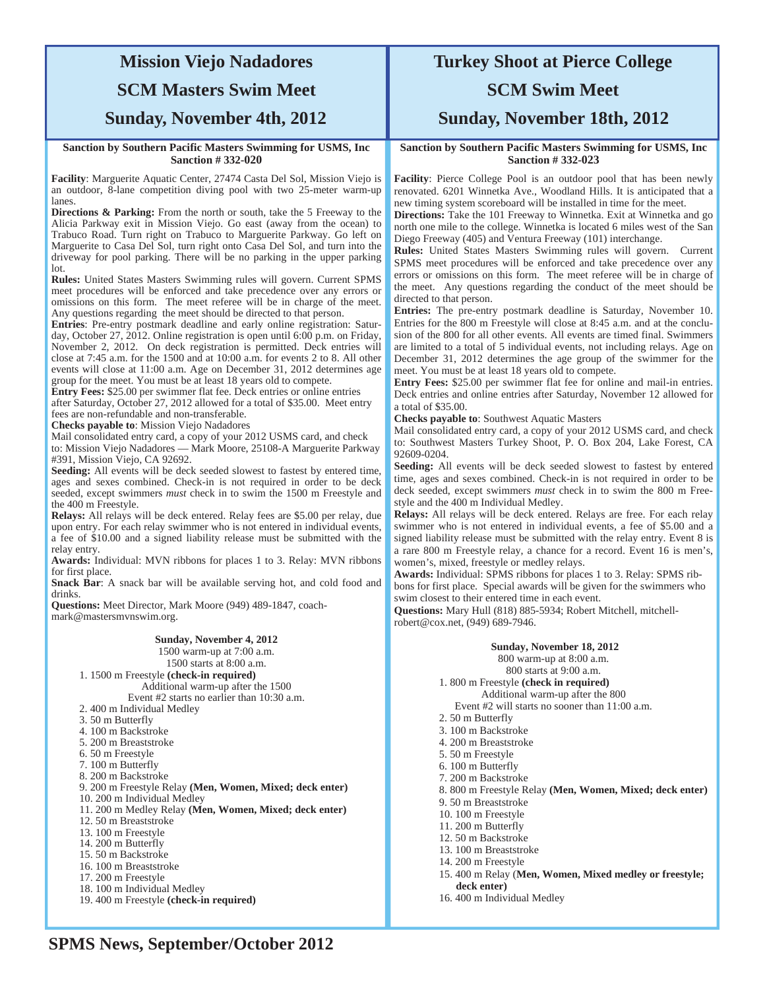## **Mission Viejo Nadadores SCM Masters Swim Meet**

### **Sunday, November 4th, 2012**

#### **Sanction by Southern Pacific Masters Swimming for USMS, Inc Sanction # 332-020**

**Facility**: Marguerite Aquatic Center, 27474 Casta Del Sol, Mission Viejo is an outdoor, 8-lane competition diving pool with two 25-meter warm-up lanes.

**Directions & Parking:** From the north or south, take the 5 Freeway to the Alicia Parkway exit in Mission Viejo. Go east (away from the ocean) to Trabuco Road. Turn right on Trabuco to Marguerite Parkway. Go left on Marguerite to Casa Del Sol, turn right onto Casa Del Sol, and turn into the driveway for pool parking. There will be no parking in the upper parking lot.

**Rules:** United States Masters Swimming rules will govern. Current SPMS meet procedures will be enforced and take precedence over any errors or omissions on this form. The meet referee will be in charge of the meet. Any questions regarding the meet should be directed to that person.

**Entries**: Pre-entry postmark deadline and early online registration: Saturday, October 27, 2012. Online registration is open until 6:00 p.m. on Friday, November 2, 2012. On deck registration is permitted. Deck entries will close at 7:45 a.m. for the 1500 and at 10:00 a.m. for events 2 to 8. All other events will close at 11:00 a.m. Age on December 31, 2012 determines age group for the meet. You must be at least 18 years old to compete.

**Entry Fees:** \$25.00 per swimmer flat fee. Deck entries or online entries after Saturday, October 27, 2012 allowed for a total of \$35.00. Meet entry fees are non-refundable and non-transferable.

**Checks payable to**: Mission Viejo Nadadores

Mail consolidated entry card, a copy of your 2012 USMS card, and check to: Mission Viejo Nadadores — Mark Moore, 25108-A Marguerite Parkway #391, Mission Viejo, CA 92692.

**Seeding:** All events will be deck seeded slowest to fastest by entered time, ages and sexes combined. Check-in is not required in order to be deck seeded, except swimmers *must* check in to swim the 1500 m Freestyle and the 400 m Freestyle.

**Relays:** All relays will be deck entered. Relay fees are \$5.00 per relay, due upon entry. For each relay swimmer who is not entered in individual events, a fee of \$10.00 and a signed liability release must be submitted with the relay entry.

**Awards:** Individual: MVN ribbons for places 1 to 3. Relay: MVN ribbons for first place.

**Snack Bar**: A snack bar will be available serving hot, and cold food and drinks.

**Questions:** Meet Director, Mark Moore (949) 489-1847, coachmark@mastersmvnswim.org.

#### **Sunday, November 4, 2012**

1500 warm-up at 7:00 a.m.

1500 starts at 8:00 a.m. 1. 1500 m Freestyle **(check-in required)** 

Additional warm-up after the 1500

Event #2 starts no earlier than 10:30 a.m.

- 2. 400 m Individual Medley
- 3. 50 m Butterfly
- 4. 100 m Backstroke
- 5. 200 m Breaststroke
- 6. 50 m Freestyle
- 7. 100 m Butterfly
- 8. 200 m Backstroke
- 9. 200 m Freestyle Relay **(Men, Women, Mixed; deck enter)**
- 10. 200 m Individual Medley
- 11. 200 m Medley Relay **(Men, Women, Mixed; deck enter)**
- 12. 50 m Breaststroke
- 13. 100 m Freestyle
- 14. 200 m Butterfly
- 15. 50 m Backstroke
- 16. 100 m Breaststroke 17. 200 m Freestyle
- 18. 100 m Individual Medley
- 19. 400 m Freestyle **(check-in required)**

## **Turkey Shoot at Pierce College SCM Swim Meet**

**Sunday, November 18th, 2012** 

#### **Sanction by Southern Pacific Masters Swimming for USMS, Inc Sanction # 332-023**

**Facility**: Pierce College Pool is an outdoor pool that has been newly renovated. 6201 Winnetka Ave., Woodland Hills. It is anticipated that a new timing system scoreboard will be installed in time for the meet.

**Directions:** Take the 101 Freeway to Winnetka. Exit at Winnetka and go north one mile to the college. Winnetka is located 6 miles west of the San Diego Freeway (405) and Ventura Freeway (101) interchange.

**Rules:** United States Masters Swimming rules will govern. Current SPMS meet procedures will be enforced and take precedence over any errors or omissions on this form. The meet referee will be in charge of the meet. Any questions regarding the conduct of the meet should be directed to that person.

**Entries:** The pre-entry postmark deadline is Saturday, November 10. Entries for the 800 m Freestyle will close at 8:45 a.m. and at the conclusion of the 800 for all other events. All events are timed final. Swimmers are limited to a total of 5 individual events, not including relays. Age on December 31, 2012 determines the age group of the swimmer for the meet. You must be at least 18 years old to compete.

**Entry Fees:** \$25.00 per swimmer flat fee for online and mail-in entries. Deck entries and online entries after Saturday, November 12 allowed for a total of \$35.00.

**Checks payable to**: Southwest Aquatic Masters

Mail consolidated entry card, a copy of your 2012 USMS card, and check to: Southwest Masters Turkey Shoot, P. O. Box 204, Lake Forest, CA 92609-0204.

**Seeding:** All events will be deck seeded slowest to fastest by entered time, ages and sexes combined. Check-in is not required in order to be deck seeded, except swimmers *must* check in to swim the 800 m Freestyle and the 400 m Individual Medley.

**Relays:** All relays will be deck entered. Relays are free. For each relay swimmer who is not entered in individual events, a fee of \$5.00 and a signed liability release must be submitted with the relay entry. Event 8 is a rare 800 m Freestyle relay, a chance for a record. Event 16 is men's, women's, mixed, freestyle or medley relays.

**Awards:** Individual: SPMS ribbons for places 1 to 3. Relay: SPMS ribbons for first place. Special awards will be given for the swimmers who

swim closest to their entered time in each event.

**Questions:** Mary Hull (818) 885-5934; Robert Mitchell, mitchellrobert@cox.net, (949) 689-7946.

#### **Sunday, November 18, 2012**

800 warm-up at 8:00 a.m.

800 starts at 9:00 a.m.

- 1. 800 m Freestyle **(check in required)**  Additional warm-up after the 800
	- Event #2 will starts no sooner than 11:00 a.m.
- 2. 50 m Butterfly
- 3. 100 m Backstroke
- 4. 200 m Breaststroke

5. 50 m Freestyle

- 6. 100 m Butterfly
- 7. 200 m Backstroke
- 8. 800 m Freestyle Relay **(Men, Women, Mixed; deck enter)**
- 9. 50 m Breaststroke
- 10. 100 m Freestyle
- 11. 200 m Butterfly
- 12. 50 m Backstroke
- 13. 100 m Breaststroke
- 14. 200 m Freestyle
- 15. 400 m Relay (**Men, Women, Mixed medley or freestyle; deck enter)**
- 16. 400 m Individual Medley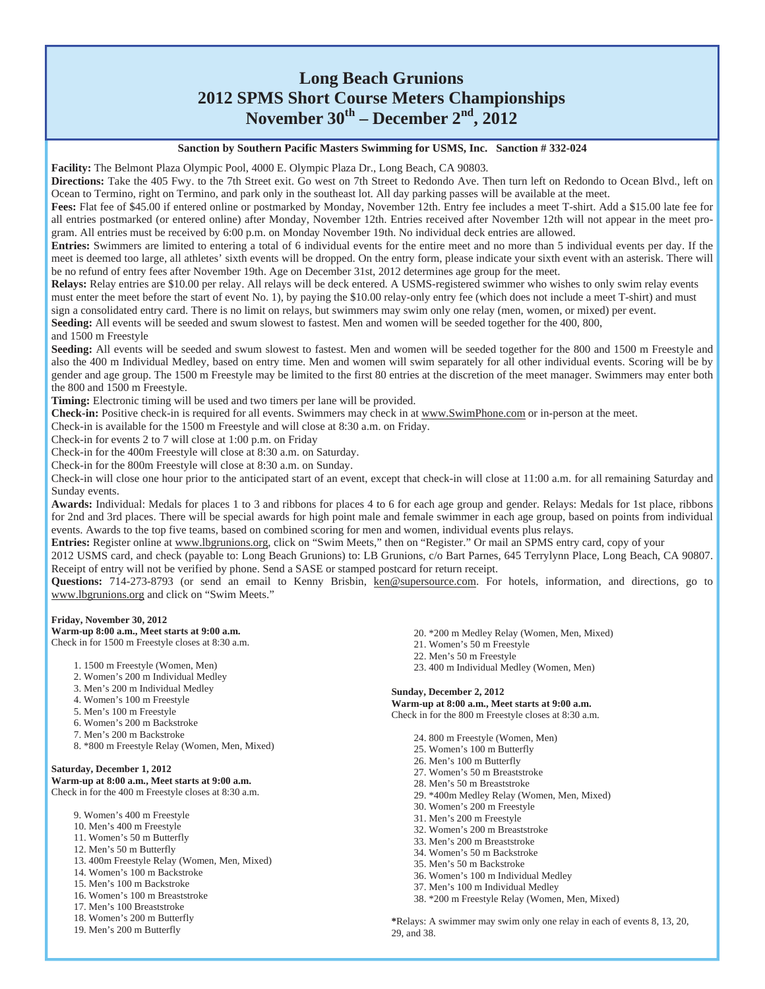## **Long Beach Grunions 2012 SPMS Short Course Meters Championships November 30th – December 2nd, 2012**

**Sanction by Southern Pacific Masters Swimming for USMS, Inc. Sanction # 332-024** 

**Facility:** The Belmont Plaza Olympic Pool, 4000 E. Olympic Plaza Dr., Long Beach, CA 90803.

**Directions:** Take the 405 Fwy. to the 7th Street exit. Go west on 7th Street to Redondo Ave. Then turn left on Redondo to Ocean Blvd., left on Ocean to Termino, right on Termino, and park only in the southeast lot. All day parking passes will be available at the meet.

**Fees:** Flat fee of \$45.00 if entered online or postmarked by Monday, November 12th. Entry fee includes a meet T-shirt. Add a \$15.00 late fee for all entries postmarked (or entered online) after Monday, November 12th. Entries received after November 12th will not appear in the meet program. All entries must be received by 6:00 p.m. on Monday November 19th. No individual deck entries are allowed.

**Entries:** Swimmers are limited to entering a total of 6 individual events for the entire meet and no more than 5 individual events per day. If the meet is deemed too large, all athletes' sixth events will be dropped. On the entry form, please indicate your sixth event with an asterisk. There will be no refund of entry fees after November 19th. Age on December 31st, 2012 determines age group for the meet.

**Relays:** Relay entries are \$10.00 per relay. All relays will be deck entered. A USMS-registered swimmer who wishes to only swim relay events must enter the meet before the start of event No. 1), by paying the \$10.00 relay-only entry fee (which does not include a meet T-shirt) and must sign a consolidated entry card. There is no limit on relays, but swimmers may swim only one relay (men, women, or mixed) per event.

**Seeding:** All events will be seeded and swum slowest to fastest. Men and women will be seeded together for the 400, 800,

and 1500 m Freestyle

**Seeding:** All events will be seeded and swum slowest to fastest. Men and women will be seeded together for the 800 and 1500 m Freestyle and also the 400 m Individual Medley, based on entry time. Men and women will swim separately for all other individual events. Scoring will be by gender and age group. The 1500 m Freestyle may be limited to the first 80 entries at the discretion of the meet manager. Swimmers may enter both the 800 and 1500 m Freestyle.

**Timing:** Electronic timing will be used and two timers per lane will be provided.

**Check-in:** Positive check-in is required for all events. Swimmers may check in at www.SwimPhone.com or in-person at the meet.

Check-in is available for the 1500 m Freestyle and will close at 8:30 a.m. on Friday.

Check-in for events 2 to 7 will close at 1:00 p.m. on Friday

Check-in for the 400m Freestyle will close at 8:30 a.m. on Saturday.

Check-in for the 800m Freestyle will close at 8:30 a.m. on Sunday.

Check-in will close one hour prior to the anticipated start of an event, except that check-in will close at 11:00 a.m. for all remaining Saturday and Sunday events.

**Awards:** Individual: Medals for places 1 to 3 and ribbons for places 4 to 6 for each age group and gender. Relays: Medals for 1st place, ribbons for 2nd and 3rd places. There will be special awards for high point male and female swimmer in each age group, based on points from individual events. Awards to the top five teams, based on combined scoring for men and women, individual events plus relays.

**Entries:** Register online at www.lbgrunions.org, click on "Swim Meets," then on "Register." Or mail an SPMS entry card, copy of your

2012 USMS card, and check (payable to: Long Beach Grunions) to: LB Grunions, c/o Bart Parnes, 645 Terrylynn Place, Long Beach, CA 90807. Receipt of entry will not be verified by phone. Send a SASE or stamped postcard for return receipt.

Questions: 714-273-8793 (or send an email to Kenny Brisbin, ken@supersource.com. For hotels, information, and directions, go to www.lbgrunions.org and click on "Swim Meets."

#### **Friday, November 30, 2012**

**Warm-up 8:00 a.m., Meet starts at 9:00 a.m.**  Check in for 1500 m Freestyle closes at 8:30 a.m.

- 1. 1500 m Freestyle (Women, Men)
- 2. Women's 200 m Individual Medley
- 3. Men's 200 m Individual Medley
- 4. Women's 100 m Freestyle
- 5. Men's 100 m Freestyle
- 6. Women's 200 m Backstroke
- 7. Men's 200 m Backstroke
- 8. \*800 m Freestyle Relay (Women, Men, Mixed)

#### **Saturday, December 1, 2012**

**Warm-up at 8:00 a.m., Meet starts at 9:00 a.m.**  Check in for the 400 m Freestyle closes at 8:30 a.m.

- 9. Women's 400 m Freestyle
- 10. Men's 400 m Freestyle
- 11. Women's 50 m Butterfly
- 12. Men's 50 m Butterfly
- 13. 400m Freestyle Relay (Women, Men, Mixed)
- 14. Women's 100 m Backstroke 15. Men's 100 m Backstroke
- 
- 16. Women's 100 m Breaststroke
- 17. Men's 100 Breaststroke
- 18. Women's 200 m Butterfly
- 19. Men's 200 m Butterfly
- 20. \*200 m Medley Relay (Women, Men, Mixed)
- 21. Women's 50 m Freestyle
- 22. Men's 50 m Freestyle
- 23. 400 m Individual Medley (Women, Men)

#### **Sunday, December 2, 2012**

**Warm-up at 8:00 a.m., Meet starts at 9:00 a.m.**  Check in for the 800 m Freestyle closes at 8:30 a.m.

- 24. 800 m Freestyle (Women, Men)
- 25. Women's 100 m Butterfly
- 26. Men's 100 m Butterfly
- 27. Women's 50 m Breaststroke
- 28. Men's 50 m Breaststroke
- 29. \*400m Medley Relay (Women, Men, Mixed)
- 30. Women's 200 m Freestyle
- 31. Men's 200 m Freestyle
- 32. Women's 200 m Breaststroke
- 33. Men's 200 m Breaststroke
- 34. Women's 50 m Backstroke 35. Men's 50 m Backstroke
- 
- 36. Women's 100 m Individual Medley 37. Men's 100 m Individual Medley
- 38. \*200 m Freestyle Relay (Women, Men, Mixed)

**SPMS News, September/October 2012 \***Relays: A swimmer may swim only one relay in each of events 8, 13, 20, 29, and 38.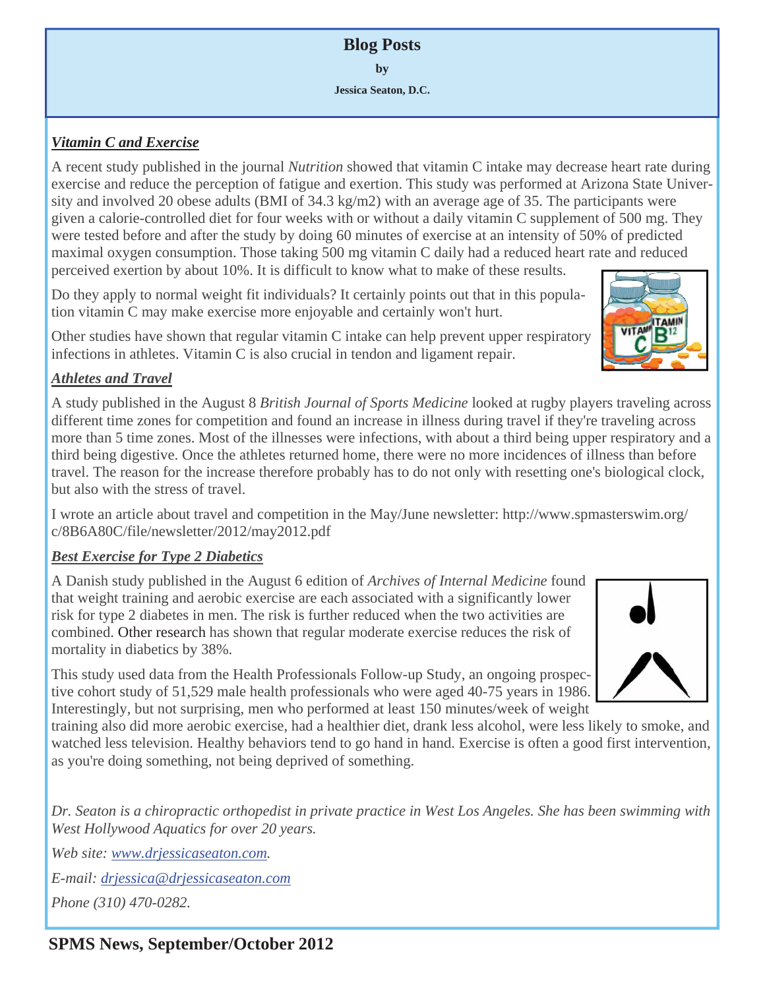**Blog Posts by Jessica Seaton, D.C.** 

## *Vitamin C and Exercise*

A recent study published in the journal *Nutrition* showed that vitamin C intake may decrease heart rate during exercise and reduce the perception of fatigue and exertion. This study was performed at Arizona State University and involved 20 obese adults (BMI of 34.3 kg/m2) with an average age of 35. The participants were given a calorie-controlled diet for four weeks with or without a daily vitamin C supplement of 500 mg. They were tested before and after the study by doing 60 minutes of exercise at an intensity of 50% of predicted maximal oxygen consumption. Those taking 500 mg vitamin C daily had a reduced heart rate and reduced perceived exertion by about 10%. It is difficult to know what to make of these results.

Do they apply to normal weight fit individuals? It certainly points out that in this population vitamin C may make exercise more enjoyable and certainly won't hurt.

Other studies have shown that regular vitamin C intake can help prevent upper respiratory infections in athletes. Vitamin C is also crucial in tendon and ligament repair.

## *Athletes and Travel*

A study published in the August 8 *British Journal of Sports Medicine* looked at rugby players traveling across different time zones for competition and found an increase in illness during travel if they're traveling across more than 5 time zones. Most of the illnesses were infections, with about a third being upper respiratory and a third being digestive. Once the athletes returned home, there were no more incidences of illness than before travel. The reason for the increase therefore probably has to do not only with resetting one's biological clock, but also with the stress of travel.

I wrote an article about travel and competition in the May/June newsletter: http://www.spmasterswim.org/ c/8B6A80C/file/newsletter/2012/may2012.pdf

## *Best Exercise for Type 2 Diabetics*

A Danish study published in the August 6 edition of *Archives of Internal Medicine* found that weight training and aerobic exercise are each associated with a significantly lower risk for type 2 diabetes in men. The risk is further reduced when the two activities are combined. Other research has shown that regular moderate exercise reduces the risk of mortality in diabetics by 38%.

This study used data from the Health Professionals Follow-up Study, an ongoing prospective cohort study of 51,529 male health professionals who were aged 40-75 years in 1986. Interestingly, but not surprising, men who performed at least 150 minutes/week of weight

training also did more aerobic exercise, had a healthier diet, drank less alcohol, were less likely to smoke, and watched less television. Healthy behaviors tend to go hand in hand. Exercise is often a good first intervention, as you're doing something, not being deprived of something.

*Dr. Seaton is a chiropractic orthopedist in private practice in West Los Angeles. She has been swimming with West Hollywood Aquatics for over 20 years.* 

*Web site: www.drjessicaseaton.com.* 

*E-mail: drjessica@drjessicaseaton.com*

*Phone (310) 470-0282.*



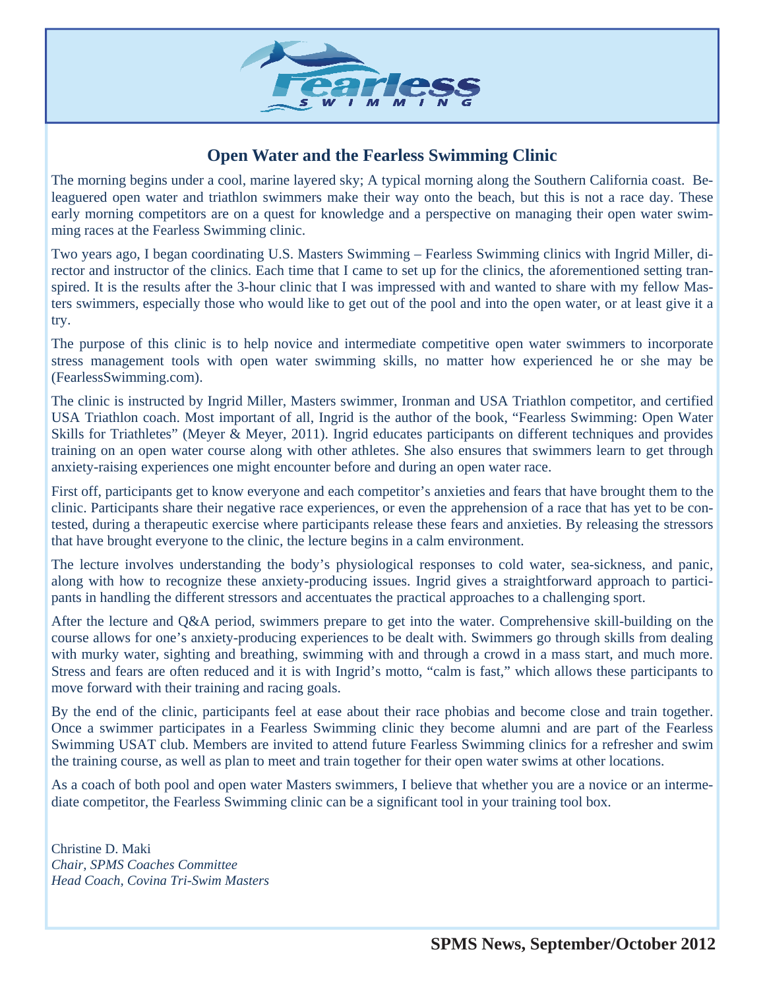

## **Open Water and the Fearless Swimming Clinic**

The morning begins under a cool, marine layered sky; A typical morning along the Southern California coast. Beleaguered open water and triathlon swimmers make their way onto the beach, but this is not a race day. These early morning competitors are on a quest for knowledge and a perspective on managing their open water swimming races at the Fearless Swimming clinic.

Two years ago, I began coordinating U.S. Masters Swimming – Fearless Swimming clinics with Ingrid Miller, director and instructor of the clinics. Each time that I came to set up for the clinics, the aforementioned setting transpired. It is the results after the 3-hour clinic that I was impressed with and wanted to share with my fellow Masters swimmers, especially those who would like to get out of the pool and into the open water, or at least give it a try.

The purpose of this clinic is to help novice and intermediate competitive open water swimmers to incorporate stress management tools with open water swimming skills, no matter how experienced he or she may be (FearlessSwimming.com).

The clinic is instructed by Ingrid Miller, Masters swimmer, Ironman and USA Triathlon competitor, and certified USA Triathlon coach. Most important of all, Ingrid is the author of the book, "Fearless Swimming: Open Water Skills for Triathletes" (Meyer & Meyer, 2011). Ingrid educates participants on different techniques and provides training on an open water course along with other athletes. She also ensures that swimmers learn to get through anxiety-raising experiences one might encounter before and during an open water race.

First off, participants get to know everyone and each competitor's anxieties and fears that have brought them to the clinic. Participants share their negative race experiences, or even the apprehension of a race that has yet to be contested, during a therapeutic exercise where participants release these fears and anxieties. By releasing the stressors that have brought everyone to the clinic, the lecture begins in a calm environment.

The lecture involves understanding the body's physiological responses to cold water, sea-sickness, and panic, along with how to recognize these anxiety-producing issues. Ingrid gives a straightforward approach to participants in handling the different stressors and accentuates the practical approaches to a challenging sport.

After the lecture and Q&A period, swimmers prepare to get into the water. Comprehensive skill-building on the course allows for one's anxiety-producing experiences to be dealt with. Swimmers go through skills from dealing with murky water, sighting and breathing, swimming with and through a crowd in a mass start, and much more. Stress and fears are often reduced and it is with Ingrid's motto, "calm is fast," which allows these participants to move forward with their training and racing goals.

By the end of the clinic, participants feel at ease about their race phobias and become close and train together. Once a swimmer participates in a Fearless Swimming clinic they become alumni and are part of the Fearless Swimming USAT club. Members are invited to attend future Fearless Swimming clinics for a refresher and swim the training course, as well as plan to meet and train together for their open water swims at other locations.

As a coach of both pool and open water Masters swimmers, I believe that whether you are a novice or an intermediate competitor, the Fearless Swimming clinic can be a significant tool in your training tool box.

Christine D. Maki *Chair, SPMS Coaches Committee Head Coach, Covina Tri-Swim Masters*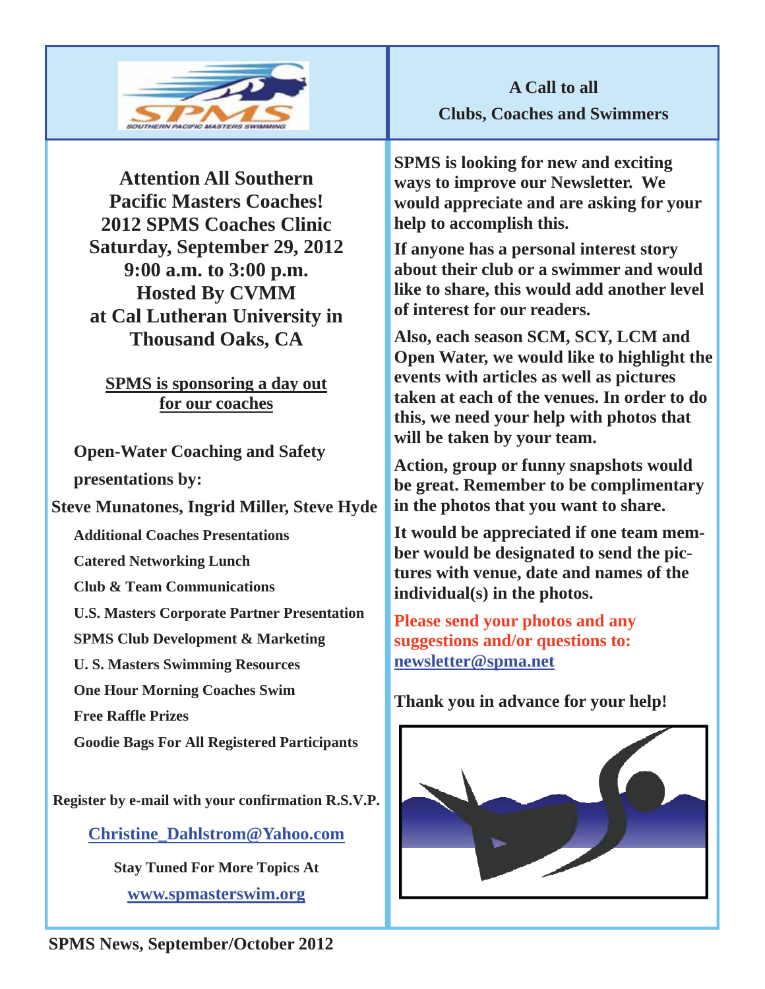

**Attention All Southern Pacific Masters Coaches! 2012 SPMS Coaches Clinic Saturday, September 29, 2012 9:00 a.m. to 3:00 p.m. Hosted By CVMM at Cal Lutheran University in Thousand Oaks, CA** 

**SPMS is sponsoring a day out for our coaches**

**Open-Water Coaching and Safety presentations by:** 

**Steve Munatones, Ingrid Miller, Steve Hyde** 

**Additional Coaches Presentations** 

**Catered Networking Lunch** 

**Club & Team Communications** 

**U.S. Masters Corporate Partner Presentation** 

**SPMS Club Development & Marketing** 

**U. S. Masters Swimming Resources** 

**One Hour Morning Coaches Swim** 

**Free Raffle Prizes** 

**Goodie Bags For All Registered Participants** 

**Register by e-mail with your confirmation R.S.V.P.** 

**Christine\_Dahlstrom@Yahoo.com**

**Stay Tuned For More Topics At www.spmasterswim.org**

**A Call to all Clubs, Coaches and Swimmers** 

**SPMS is looking for new and exciting ways to improve our Newsletter. We would appreciate and are asking for your help to accomplish this.** 

**If anyone has a personal interest story about their club or a swimmer and would like to share, this would add another level of interest for our readers.** 

**Also, each season SCM, SCY, LCM and Open Water, we would like to highlight the events with articles as well as pictures taken at each of the venues. In order to do this, we need your help with photos that will be taken by your team.** 

**Action, group or funny snapshots would be great. Remember to be complimentary in the photos that you want to share.** 

**It would be appreciated if one team member would be designated to send the pictures with venue, date and names of the individual(s) in the photos.** 

**Please send your photos and any suggestions and/or questions to: newsletter@spma.net**

## **Thank you in advance for your help!**



**SPMS News, September/October 2012**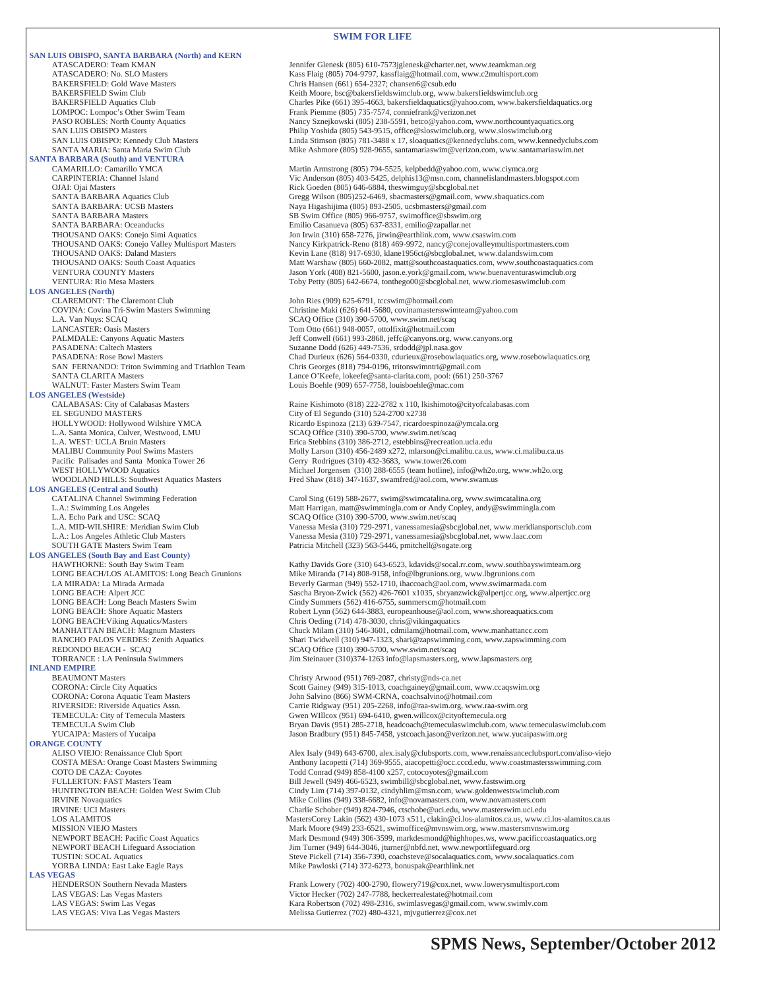#### **SWIM FOR LIFE**

**SAN LUIS OBISPO, SANTA BARBARA (North) and KERN** ATASCADERO: Team KMAN<br>ATASCADERO: No. SI O Masters<br>Kass Flaig (805) 704-9797 kassflaig@hotmail.com www.c2multisport.com ATASCADERO: No. SLO Masters (And The Masters Kass Flaig (805) 704-9797, kassflaig@hotmail.com, www.c2multisport.com<br>BAKERSFIELD: Gold Wave Masters (And The Chris Hansen (661) 654-2327; chansen6@csub.edu **SANTA BARBARA (South) and VENTURA LOS ANGELES (North)**  CLAREMONT: The Claremont Club John Ries (909) 625-6791, tccswim@hotmail.com<br>
COVINA: Covina Tri-Swim Masters Swimming Christine Maki (626) 641-5680, covinamastersswin L.A. Van Nuys: SCAQ SCAQ Office (310) 390-5700, www.swim.net/scaq SAN FERNANDO: Triton Swimming and Triathlon Team<br>SANTA CLARITA Masters **LOS ANGELES (Westside)** L.A. Santa Monica, Culver, Westwood, LMU SCAQ Office (310) 390-5700, www.swim.net/scaq<br>
L.A. WEST: UCLA Bruin Masters<br>
Erica Stebbins (310) 386-2712, estebbins@recreatic **LOS ANGELES (Central and South)**  L.A. Echo Park and USC: SCAQ <br>
L.A. MID-WILSHIRE: Meridian Swim Club <br>
Vanessa Mesia (310) 729-2971, vanessamesia@sbc **LOS ANGELES (South Bay and East County)**  REDONDO BEACH - SCAQ<br>
TORRANCE : LA Peninsula Swimmers<br>
TORRANCE : LA Peninsula Swimmers<br>
SCAQ Office (310) 390-5700, www.swim.net/scaq **INLAND EMPIRE ORANGE COUNTY<br>ALISO VIEJO:** Renaissance Club Sport **LAS VEGAS**<br> **HENDERSON Southern Nevada Masters** 

BAKERSFIELD Swim Club<br>BAKERSFIELD Aquatics Club Charles Pike (661) 395-4663, bakersfieldsaquatics@yahoo.com, www.bakersf BAKERSFIELD Aquatics Club Charles Pike (661) 395-4663, bakersfieldaquatics@yahoo.com, www.bakersfieldaquatics.org<br>
LOMPOC: Lompoc's Other Swim Team Frank Piemme (805) 735-7574, conniefrank@verizon.net LOMPOC: Lompoc's Other Swim Team Frank Piemme (805) 735-7574, conniefrank @verizon.net<br>PASO ROBLES: North County Aquatics Frank Piemme (805) 238-5591, betco @yahoo.com, PASO ROBLES: North County Aquatics Nancy Sznejkowski (805) 238-5591, betco@yahoo.com, www.northcountyaquatics.org<br>Philip Yoshida (805) 543-9515, office@sloswimclub.org, www.sloswimclub.org Philip Yoshida (805) 543-9515, office@sloswimclub.org, www.sloswimclub.org SAN LUIS OBISPO: Kennedy Club Masters Linda Stimson (805) 781-3488 x 17, sloaquatics@kennedyclubs.com, www.kennedyclubs.com SANTA MARIA: Santa Maria Swim Club Mike Ashmore (805) 928-9655, santamariaswim@verizon.com, www.santamariaswim.net CAMARILLO: Camarillo YMCA Martin Armstrong (805) 794-5525, kelpbedd@yahoo.com, www.ciymca.org<br>CARPINTERIA: Channel Island Vic Anderson (805) 403-5425, delphis 13@msn.com, channelislandmasters.b CARPINTERIA: Channel Island Vic Anderson (805) 403-5425, delphis13@msn.com, channelislandmasters.blogspot.com<br>OJAI: Ojai Masters<br>Rick Goeden (805) 646-6884, theswimguy@sbcglobal.net OJAI: Ojai Masters (305) 646-6884, theswimguy@sbcglobal.net<br>
SANTA BARBARA Aquatics Club (305)252-6469, sbacmasters@gmail.com, w Gregg Wilson (805)252-6469, sbacmasters@gmail.com, www.sbaquatics.com SANTA BARBARA: UCSB Masters Naya Higashijima (805) 893-2505, ucsbmasters@gmail.com (SANTA BARBARA Masters Sexumenters SANTA BARBARA Masters Sexumenters SANTA BARBARA Masters Sexumenters SANTA SER Swim Office (805) 966-9757 SANTA BARBARA: Oceanducks Emilio Casanueva (805) 637-8331, emilio@zapallar.net<br>
THOUSAND OAKS: Conejo Simi Aquatics Jon Irwin (310) 658-7276, jirwin@earthlink.com, www. THOUSAND OAKS: Conejo Simi Aquatics Jon Irwin (310) 658-7276, jirwin@earthlink.com, www.csaswim.com<br>THOUSAND OAKS: Conejo Valley Multisport Masters Nancy Kirkpatrick-Reno (818) 469-9972, nancy@conejovalleymultisp THOUSAND OAKS: Conejo Valley Multisport Masters Nancy Kirkpatrick-Reno (818) 469-9972, nancy@conejovalleymultisportmasters.com<br>THOUSAND OAKS: Daland Masters Kevin Lane (818) 917-6930, klane1956ct@sbcglobal.net, www.dalands THOUSAND OAKS: Daland Masters Kevin Lane (818) 917-6930, klane1956ct@sbcglobal.net, www.dalandswim.com<br>THOUSAND OAKS: South Coast Aquatics Matt Warshaw (805) 660-2082, matt@southcoastaquatics.com, www.southcoasta THOUSAND OAKS: South Coast Aquatics Matt Warshaw (805) 660-2082, matt@southcoastaquatics.com, www.southcoastaquatics.com<br>VENTURA COUNTY Masters Maters Jason York (408) 821-5600, jason.e.york@gmail.com, www.buenaventuraswim Jason York (408) 821-5600, jason.e.york@gmail.com, www.buenaventuraswimclub.org VENTURA: Rio Mesa Masters Toby Petty (805) 642-6674, tonthego00@sbcglobal.net, www.riomesaswimclub.com COVINA: Covina Tri-Swim Masters Swimming Christine Maki (626) 641-5680, covinamastersswimteam@yahoo.com Tom Otto (661) 948-0057, ottolfixit@hotmail.com PALMDALE: Canyons Aquatic Masters Surface and Surface of the State of Gonwell (661) 993-2868, jeffc@canyons.org, www.canyons.org<br>PASADENA: Caltech Masters Surface and Surface of Suzanne Dodd (626) 449-7536, srdodd@jpl.nasa PASADENA: Rose Bowl Masters Chad Durieux (626) 564-0330, cdurieux @rosebowlaquatics.org, www.rosebowlaquatics.org<br>Chris Georges (818) 794-0196, tritonswimntri@gmail.com SANTA CLARITA Masters **Lance O'Keefe, lokeefe@santa-clarita.com**, pool: (661) 250-3767<br>WALNUT: Faster Masters Swim Team **Louis Boehle (909) 657-7758, louisboehle@mac.com** Louis Boehle (909) 657-7758, louisboehle@mac.com Raine Kishimoto (818) 222-2782 x 110, lkishimoto@cityofcalabasas.com EL SEGUNDO MASTERS City of El Segundo (310) 524-2700 x2738 HOLLYWOOD: Hollywood Wilshire YMCA Ricardo Espinoza (213) 639-7547, ricardoespinoza@ymcala.org L.A. WEST: UCLA Bruin Masters Francisco Erica Stebbins (310) 386-2712, estebbins @recreation.ucla.edu<br>
Mally Larson (310) 456-2489 x272, mlarson @ci.malibu.ca.us, MALIBU Community Pool Swims Masters Molly Larson (310) 456-2489 x272, mlarson @ci.malibu.ca.us, www.ci.malibu.ca.us<br>Pacific Palisades and Santa Monica Tower 26 Gerry Rodrigues (310) 432-3683, www.tower26.com Gerry Rodrigues (310) 432-3683, www.tower26.com WEST HOLLYWOOD Aquatics Michael Jorgensen (310) 288-6555 (team hotline), info@wh2o.org, www.wh2o.org WOODLAND HILLS: Southwest Aquatics Masters Fred Shaw (818) 347-1637, swamfred@aol.com, www.swam.us

CATALINA Channel Swimming Federation Carol Sing (619) 588-2677, swim@swimcatalina.org, www.swimcatalina.org<br>
L.A.: Swimming Los Angeles<br>
Matt Harrigan, matt@swimmingla.com or Andy Copley, andy@swimmingla.org L.A.: Swimming Los Angeles (Exercise 1998) Matt Harrigan, matt@swimmingla.com or Andy Copley, andy@swimmingla.com<br>CAQ Office (310) 390-5700, www.swim.net/scaq L.A. MID-WILSHIRE: Meridian Swim Club Vanessa Mesia (310) 729-2971, vanessamesia@sbcglobal.net, www.meridiansportsclub.com Vanessa Mesia (310) 729-2971, vanessamesia@sbcglobal.net, www.laac.com SOUTH GATE Masters Swim Team Patricia Mitchell (323) 563-5446, pmitchell@sogate.org

HAWTHORNE: South Bay Swim Team Kathy Davids Gore (310) 643-6523, kdavids@socal.rr.com, www.southbayswimteam.org<br>
LONG BEACH/LOS ALAMITOS: Long Beach Grunions Mike Miranda (714) 808-9158, info@lbgrunions.org, www.lbgrunions LONG BEACH/LOS ALAMITOS: Long Beach Grunions Mike Miranda (714) 808-9158, info@lbgrunions.org, www.lbgrunions.com LA MIRADA: La Mirada Armada Beverly Garman (949) 552-1710, ihaccoach@aol.com, www.swimarmada.com<br>CONG BEACH: Alpert JCC Sascha Bryon-Zwick (562) 426-7601 x1035, sbryanzwick@alpertjcc.org, www. LONG BEACH: Alpert JCC Sascha Bryon-Zwick (562) 426-7601 x1035, sbryanzwick@alpertjcc.org, www.alpertjcc.org<br>
LONG BEACH: Long Beach Masters Swim Cindy Summers (562) 416-6755, summerscm@hotmail.com Cindy Summers (562) 416-6755, summers m@hotmail.com LONG BEACH: Shore Aquatic Masters **Robert Lynn (562) 644-3883**, europeanhouse @aol.com, www.shoreaquatics.com<br>
LONG BEACH: Viking Aquatics/Masters **Robert Lynn (562) 644-3883**, europeanhouse @aol.com, www.shoreaquatics.com LONG BEACH:Viking Aquatics/Masters Chris Oeding (714) 478-3030, chris@vikingaquatics MANHATTAN BEACH: Magnum Masters Chuck Milam (310) 546-3601, cdmilam@hotmail.com, www.manhattancc.com RANCHO PALOS VERDES: Zenith Aquatics Shari Twidwell (310) 947-1323, shari@zapswimming.com, www.zapswimming.com<br>REDONDO BEACH - SCAQ SCAQ Office (310) 390-5700, www.swim.net/scaq Jim Steinauer (310)374-1263 info@lapsmasters.org, www.lapsmasters.org

Christy Arwood (951) 769-2087, christy@nds-ca.net CORONA: Circle City Aquatics Scott Gainey (949) 315-1013, coachgainey@gmail.com, www.ccaqswim.org<br>CORONA: Corona Aquatic Team Masters Scott Gainey (866) SWM-CRNA, coachsalvino@hotmail.com CORONA: Corona Aquatic Team Masters John Salvino (866) SWM-CRNA, coachsalvino@hotmail.com<br>Prime RIVERSIDE: Riverside Aquatics Assn. Carrie Ridgway (951) 205-2268, info@raa-swim.org, www.raa RIVERSIDE: Riverside Aquatics Assn. Carrie Ridgway (951) 205-2268, info@raa-swim.org, www.raa-swim.org<br>TEMECULA: City of Temecula Masters Gwen WIllcox (951) 694-6410, gwen.willcox@cityoftemecula.org TEMECULA: City of Temecula Masters Gwen WIllcox (951) 694-6410, gwen willcox @cityoftemecula.org<br>TEMECULA Swim Club Gwen Club Gwen Club Bryan Davis (951) 285-2718, headcoach@temeculaswimclub.com, TEMECULA Swim Club Company and Bryan Davis (951) 285-2718, headcoach@temeculaswimclub.com, www.temeculaswimclub.com<br>TucAIPA: Masters of Yucaipa Jason Bradbury (951) 845-7458, ystcoach.jason@verizon.net, www.yucaipaswim.org

ALISO VIEJO: Renaissance Club Sport<br>COSTA MESA: Orange Coast Masters Swimming Anthony Iacopetti (714) 369-9555, aiacopetti@occ.cccd.edu, www.coastmastersswimming.com COSTA MESA: Orange Coast Masters Swimming<br>
COTO DE CAZA: Coyotes Todd Conrad (949) 858-4100 x257, cotocoyotes@gmail.com<br>
FULLERTON: FAST Masters Team Bill Jewell (949) 466-6523, swimbill@sbcglobal.net, www.fa FULLERTON: FAST Masters Team Game Bill Jewell (949) 466-6523, swimbill@sbcglobal.net, www.fastswim.org<br>HUNTINGTON BEACH: Golden West Swim Club Cindy Lim (714) 397-0132, cindyhlim@msn.com, www.goldenwestswin HUNTINGTON BEACH: Golden West Swim Club<br>
RVINE Novaquatics<br>
RVINE Novaquatics<br>
RVINE: UCI Masters<br>
Charlie Schober (949) 324-7946, ctschobe@uci.edu, www.masters.com<br>
Charlie Schober (949) 824-7946, ctschobe@uci.edu, www.ma Mike Collins (949) 338-6682, info@novamasters.com, www.novamasters.com Charlie Schober (949) 824-7946, ctschobe@uci.edu, www.masterswim.uci.edu LOS ALAMITOS Masters (562) 430-1073 x511, clakin @ci.los-alamitos.ca.us, www.ci.los-alamitos.ca.us<br>Mark Moore (949) 233-6521, swimoffice @mvnswim.org, www.mastersmynswim.org MISSION VIEJO Masters MISSION VIEJO Masters<br>Mark Moore (949) 233-6521, swimoffice@mvnswim.org, www.mastersmvnswim.org<br>Mark Desmond (949) 306-3599, markdesmond@highhopes.ws, www.pacificcoastaquatics.org NEWPORT BEACH Lifeguard Association Jim Turner (949) 644-3046, jturner@nbfd.net, www.newportlifeguard.org<br>TUSTIN: SOCAL Aquatics TUSTIN: SOCAL Aquatics<br>
YORBA LINDA: East Lake Eagle Rays Mike Pawloski (714) 372-6273, bonuspak @earthlink.net Mike Pawloski (714) 372-6273, bonuspak@earthlink.net

HENDERSON Southern Nevada Masters Frank Lowery (702) 400-2790, flowery 719@cox.net, www.lowerysmultisport.com<br>
LAS VEGAS: Las Vegas Masters Victor Hecker (702) 247-7788, heckerrealestate@hotmail.com LAS VEGAS: Las Vegas Masters Victor Hecker (702) 247-7788, heckerrealestate@hotmail.com<br>
LAS VEGAS: Swim Las Vegas Kara Robertson (702) 247-7788, heckerrealestate@hotmail.com<br>
Kara Robertson (702) 249-2316, swimlasvegas@gm LAS VEGAS: Swim Las Vegas Kara Robertson (702) 498-2316, swimlasvegas@gmail.com, www.swimlv.com<br>
LAS VEGAS: Viva Las Vegas Masters Melissa Gutierrez (702) 498-4321, mjvgutierrez@cox.net Melissa Gutierrez (702) 480-4321, mjvgutierrez@cox.net